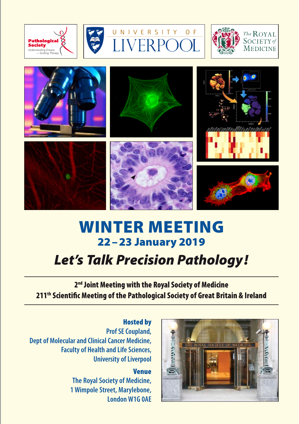





 $\cap$ F













# Winter Meeting 22–23 January 2019

# *Let's Talk Precision Pathology !*

2<sup>nd</sup> Joint Meeting with the Royal Society of Medicine 211<sup>th</sup> Scientific Meeting of the Pathological Society of Great Britain & Ireland

Hosted by **Prof SE Coupland, Dept of Molecular and Clinical Cancer Medicine, Faculty of Health and Life Sciences, University of Liverpool**

> Venue **The Royal Society of Medicine, 1 Wimpole Street, Marylebone, London W1G 0AE**

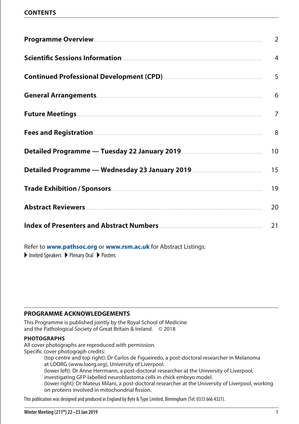### **CONTENTS**

|                    | $\overline{2}$ |
|--------------------|----------------|
|                    | 4              |
|                    | 5              |
|                    | 6              |
|                    | $\overline{7}$ |
|                    | 8              |
|                    | 10             |
|                    | 15             |
|                    | 19             |
| Abstract Reviewers | 20             |
|                    | 21             |

Refer to **[www.pathsoc.org](https://www.pathsoc.org/index.php/meetings/society-scientific-meetings)** or **[www.rsm.ac.uk](http://www.rsm.ac.uk/events/ptm02)** for Abstract Listings:

 $\blacktriangleright$  Invited Speakers  $\blacktriangleright$  Plenary Oral  $\blacktriangleright$  Posters

### **Programme acknowledgements**

This Programme is published jointly by the Royal School of Medicine and the Pathological Society of Great Britain & Ireland. © 2018

### **photographs**

All cover photographs are reproduced with permission. Specific cover photograph credits:

.................(top centre and top right): Dr Carlos de Figueiredo, a post-doctoral researcher in Melanoma at LOORG (www.loorg.org), University of Liverpool.

(lower left): Dr Anne Herrmann, a post-doctoral researcher at the University of Liverpool,

investigating GFP-labelled neuroblastoma cells in chick embryo model.

(lower right): Dr Mateus Milani, a post-doctoral researcher at the University of Liverpool, working on proteins involved in mitochondrial fission.

This publication was designed and produced in England by Byte & Type Limited, Birmingham (Tel: 0333 666 4321).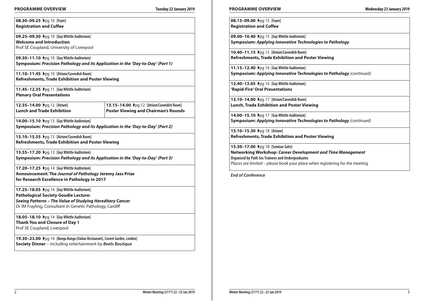### **Programme Overview Tuesday 22 January 2019 Programme Overview Wednesday 23 January 2019**

**08.30−09.25**  $\rho$ pq 10 [Foyer] **Registration and Coffee** 

**09.25–09.30** ▶pq 10 **[Guy Whittle Auditorium] Welcome and Introduction** Prof SE Coupland, University of Liverpool

**09.30−11.10**  $\rho$ pq 10 **[Guy Whittle Auditorium] Symposium:** *Precision Pathology and its Application in the 'Day-to-Day' (Part 1)*

**11.10−11.45**  $\rho q 10$  [Atrium/Cavendish Room] **Refreshments, Trade Exhibition and Poster Viewing**

**11.45−12.35**  $\rho$ pq 11 [Guy Whittle Auditorium] **Plenary Oral Presentations**

**12.35−14.00**  $\rho$ pq 12 **[Atrium] Lunch and Trade Exhibition**

**13.15–14.00 ▶**pq 12 [Atrium/Cavendish Room] **Poster Viewing and Chairman's Rounds**

**14.00−15.10**  $\rho$ pa 13 **[Guv Whittle Auditorium] Symposium:** *Precision Pathology and its Application in the 'Day-to-Day' (Part 2)*

**15.10−15.55**  $\rho$ pq 13 [Atrium/Cavendish Room] **Refreshments, Trade Exhibition and Poster Viewing**

**15.55−17.20**  $\rho q 13$  [Guy Whittle Auditorium] **Symposium:** *Precision Pathology and its Application in the 'Day-to-Day' (Part 3)*

**17.20−17.25**  $\rho$ q 14 **[Guy Whittle Auditorium] Announcement: The** *Journal of Pathology* **Jeremy Jass Prize for Research Excellence in Pathology in 2017**

**17.25−18.05**  $\rho$ q 14 [Guy Whittle Auditorium] **Pathological Society Goudie Lecture:** *Seeing Patterns – The Value of Studying Hereditary Cancer* Dr IM Frayling, Consultant in Genetic Pathology, Cardiff

**18.05−18.10**  $\rho$ pg 14 **[Guy Whittle Auditorium] Thank You and Closure of Day 1** Prof SE Coupland, Liverpool

**19.30–23.00** ▶pq 14 **[Bunga Bunga (Italian Restaurant), Covent Garden, London] Society Dinner** – including entertainment by *Beats Boutique*

**08.15−09.00**  $\rho$ pq 15 [Foyer] **Registration and Coffee** 

**09.00−10.40**  $\rho$  **Dog 15**  [Guy Whittle Auditorium] **Symposium:** *Applying Innovative Technologies to Pathology*

**10.40−11.15**  $\rho q 15$  [Atrium/Cavendish Room] **Refreshments, Trade Exhibition and Poster Viewing**

**11.15−12.40**  $\rho$ pg 16 [Guy Whittle Auditorium] **Symposium:** *Applying Innovative Technologies to Pathology (continued)*

**12.40−13.05**  $\rho q 16$  [Guy Whittle Auditorium] **'Rapid-Fire' Oral Presentations**

**13.10−14.00**  $\rho q$  17 [Atrium/Cavendish Room] **Lunch, Trade Exhibition and Poster Viewing**

**14.00−15.10**  $\rho$ pq 17 **[Guy Whittle Auditorium] Symposium:** *Applying Innovative Technologies to Pathology (continued)*

**15.10−15.30**  $\rho$ pq 18 [Atrium] **Refreshments, Trade Exhibition and Poster Viewing**

**15.30−17.00**  $\rho$ pa 18 **[Seminar Suite] Networking Workshop:** *Career Development and Time Management* **Organised by Path Soc Trainees and Undergraduates** *Places are limited – please book your place when registering for the meeting*

*End of Conference*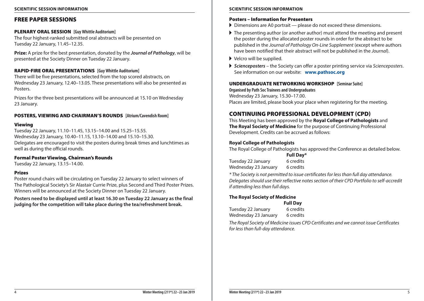# Free Paper Sessions

# PLENARY ORAL SESSION **[Guy Whittle Auditorium]**

The four highest-ranked submitted oral abstracts will be presented on Tuesday 22 January, 11.45–12.35.

**Prize:** A prize for the best presentation, donated by the *Journal of Pathology*, will be presented at the Society Dinner on Tuesday 22 January.

# Rapid-Fire ORAL PRESENTATIONS **[Guy Whittle Auditorium]**

There will be five presentations, selected from the top scored abstracts, on Wednesday 23 January, 12.40–13.05. These presentations will also be presented as **Posters** 

Prizes for the three best presentations will be announced at 15.10 on Wednesday 23 January.

# POSTERS, VIEWING and CHAIRMAN'S ROUNDS **[Atrium/Cavendish Room]**

# Viewing

Tuesday 22 January, 11.10–11.45, 13.15–14.00 and 15.25–15.55. Wednesday 23 January, 10.40–11.15, 13.10–14.00 and 15.10–15.30. Delegates are encouraged to visit the posters during break times and lunchtimes as well as during the official rounds.

# Formal Poster Viewing, Chairman's Rounds

Tuesday 22 January, 13.15–14.00.

# Prizes

Poster round chairs will be circulating on Tuesday 22 January to select winners of The Pathological Society's Sir Alastair Currie Prize, plus Second and Third Poster Prizes. Winners will be announced at the Society Dinner on Tuesday 22 January.

**Posters need to be displayed until at least 16.30 on Tuesday 22 January as the final judging for the competition will take place during the tea/refreshment break.**

# Posters – Information for Presenters

- $\triangleright$  Dimensions are A0 portrait please do not exceed these dimensions.
- $\blacktriangleright$  The presenting author (or another author) must attend the meeting and present the poster during the allocated poster rounds in order for the abstract to be published in the *Journal of Pathology On-Line Supplement* (except where authors have been notified that their abstract will not be published in the *Journal*).
- $\blacktriangleright$  Velcro will be supplied.
- A *Scienceposters* the Society can offer a poster printing service via *Scienceposters*. See information on our website: **[www.pathsoc.org](https://www.pathsoc.org/index.php/meetings/society-scientific-meetings)**

# Undergraduate Networking Workshop **[Seminar Suite]**

**Organised by Path Soc Trainees and Undergraduates** Wednesday 23 January, 15.30–17.00. Places are limited, please book your place when registering for the meeting.

# CONTINUING PROFESSIONAL DEVELOPMENT (CPD)

This Meeting has been approved by the **Royal College of Pathologists** and **The Royal Society of Medicine** for the purpose of Continuing Professional Development. Credits can be accrued as follows:

# **Royal College of Pathologists**

The Royal College of Pathologists has approved the Conference as detailed below.

**Full Day\*** Tuesday 22 January 6 credits Wednesday 23 January 6 credits

*\* The Society is not permitted to issue certificates for less than full day attendance. Delegates should use their reflective notes section of their CPD Portfolio to self-accredit if attending less than full days.*

### **The Royal Society of Medicine Full Day**

|                      | <b>Full Day</b> |
|----------------------|-----------------|
| Tuesday 22 January   | 6 credits       |
| Wednesday 23 January | 6 credits       |

*The Royal Society of Medicine issues CPD Certificates and we cannot issue Certificates for less than full-day attendance.*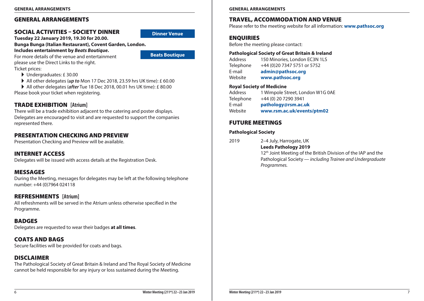# General Arrangements

# Social Activities – Society Dinner

**Tuesday 22 January 2019, 19.30 for 20.00.** 

# **Bunga Bunga (Italian Restaurant), Covent Garden, London.**

**Includes entertainment by** *Beats Boutique***.**

For more details of the venue and entertainment please use the Direct Links to the right. Ticket prices:

- A Undergraduates: £ 30.00
- ▶ All other delegates (*up to* Mon 17 Dec 2018, 23.59 hrs UK time): £ 60.00
- All other delegates (*after* Tue 18 Dec 2018, 00.01 hrs UK time): £ 80.00 Please book your ticket when registering.

# TRADE EXHIBITION **[Atrium]**

There will be a trade exhibition adjacent to the catering and poster displays. Delegates are encouraged to visit and are requested to support the companies represented there.

# Presentation Checking and Preview

Presentation Checking and Preview will be available.

# Internet Access

Delegates will be issued with access details at the Registration Desk.

# Messages

During the Meeting, messages for delegates may be left at the following telephone number: +44 (0)7964 024118

# Refreshments **[Atrium]** All refreshments will be served in the Atrium unless otherwise specified in the

Programme.

# **BADGES**

Delegates are requested to wear their badges **at all times**.

# Coats and Bags

Secure facilities will be provided for coats and bags.

# **DISCLAIMER**

The Pathological Society of Great Britain & Ireland and The Royal Society of Medicine cannot be held responsible for any injury or loss sustained during the Meeting.

**GENERAL ARRANGEMENTS GENERAL ARRANGEMENTS**

# Travel, Accommodation and Venue

Please refer to the meeting website for all information: **[www.pathsoc.org](https://www.pathsoc.org/index.php/meetings/society-scientific-meetings)**

# **ENQUIRIES**

Before the meeting please contact:

# **Pathological Society of Great Britain & Ireland**

Address 150 Minories, London FC3N 1LS Telephone +44 (0)20 7347 5751 or 5752 E-mail **[admin@pathsoc.org](mailto:admin%40pathsoc.org?subject=Winter%20Meeting%202019)** Website **[www.pathsoc.org](https://www.pathsoc.org/index.php/meetings/society-scientific-meetings)**

# **Royal Society of Medicine**

| <b>Address</b> | 1 Wimpole Street, London W1G 0AE |
|----------------|----------------------------------|
| Telephone      | +44 (0) 20 7290 3941             |
| E-mail         | pathology@rsm.ac.uk              |
| Website        | www.rsm.ac.uk/events/ptm02       |

# FUTURE MEETINGS

# **Pathological Society**

2019 2–4 July, Harrogate, UK **Leeds Pathology 2019** 

> 12<sup>th</sup> Joint Meeting of the British Division of the IAP and the Pathological Society *— including Trainee and Undergraduate Programmes.*

**[Dinner Venue](https://covent-garden.bungabunga-london.com/)**

**[Beats Boutique](https://www.wearefullcircle.co.uk/acts/beats-boutique-2/)**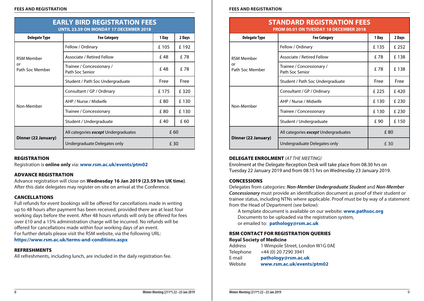| <b>EARLY BIRD REGISTRATION FEES</b><br><b>UNTIL 23.59 ON MONDAY 17 DECEMBER 2018</b> |                                              |       |        |  |  |
|--------------------------------------------------------------------------------------|----------------------------------------------|-------|--------|--|--|
| <b>Delegate Type</b>                                                                 | <b>Fee Category</b>                          | 1 Day | 2 Days |  |  |
|                                                                                      | Fellow / Ordinary                            | £105  | £192   |  |  |
| <b>RSM Member</b>                                                                    | Associate / Retired Fellow                   | £48   | £ 78   |  |  |
| or<br>Path Soc Member                                                                | Trainee / Concessionary /<br>Path Soc Senior | £48   | £78    |  |  |
|                                                                                      | Student / Path Soc Undergraduate             | Free  | Free   |  |  |
|                                                                                      | Consultant / GP / Ordinary                   | £175  | £ 320  |  |  |
|                                                                                      | AHP / Nurse / Midwife                        | £80   | £130   |  |  |
| Non-Member                                                                           | Trainee / Concessionary                      | £80   | £ 130  |  |  |
|                                                                                      | Student / Undergraduate                      | £40   | £ 60   |  |  |
| Dinner (22 January)                                                                  | All categories except Undergraduates         | £ 60  |        |  |  |
|                                                                                      | Undergraduate Delegates only                 | £ 30  |        |  |  |

# **REGISTRATION**

Registration is **online only** via: **[www.rsm.ac.uk/events/ptm02](http://www.rsm.ac.uk/events/ptm02)**

# Advance registration

Advance registration will close on **Wednesday 16 Jan 2019 (23.59 hrs UK time)**. After this date delegates may register on-site on arrival at the Conference.

# Cancellations

Full refunds for event bookings will be offered for cancellations made in writing up to 48 hours after payment has been received, provided there are at least four working days before the event. After 48 hours refunds will only be offered for fees over £10 and a 15% administration charge will be incurred. No refunds will be offered for cancellations made within four working days of an event. For further details please visit the RSM website, via the following URL: **<https://www.rsm.ac.uk/terms-and-conditions.aspx>**

# Refreshments

All refreshments, including lunch, are included in the daily registration fee.

### **FEES AND REGISTRATION FEES AND REGISTRATION**

| <b>STANDARD REGISTRATION FEES</b>             |
|-----------------------------------------------|
| <b>FROM 00.01 ON TUESDAY 18 DECEMBER 2018</b> |

| <b>Delegate Type</b>  | <b>Fee Category</b>                          | 1 Day | 2 Days |
|-----------------------|----------------------------------------------|-------|--------|
|                       | Fellow / Ordinary                            | £135  | £ 252  |
| <b>RSM Member</b>     | Associate / Retired Fellow                   | £78   | £138   |
| or<br>Path Soc Member | Trainee / Concessionary /<br>Path Soc Senior | £78   | £138   |
|                       | Student / Path Soc Undergraduate             | Free  | Free   |
|                       | Consultant / GP / Ordinary                   | £ 225 | £420   |
| Non-Member            | AHP / Nurse / Midwife                        | £130  | £ 230  |
|                       | Trainee / Concessionary                      | £130  | £ 230  |
|                       | Student / Undergraduate                      | £ 90  | £ 150  |
|                       | All categories except Undergraduates         | £80   |        |
| Dinner (22 January)   | Undergraduate Delegates only                 | £ 30  |        |

# DELEGATE ENROLMENT *(AT THE MEETING)*

Enrolment at the Delegate Reception Desk will take place from 08.30 hrs on Tuesday 22 January 2019 and from 08.15 hrs on Wednesday 23 January 2019.

# **CONCESSIONS**

Delegates from categories: *Non-Member Undergraduate Student* and *Non-Member Concessionary* must provide an identification document as proof of their student or trainee status, including NTNs where applicable. Proof must be by way of a statement from the Head of Department (see below):

A template document is available on our website: **[www.pathsoc.org](https://www.pathsoc.org/index.php/meetings/society-scientific-meetings)** Documents to be uploaded via the registration system, or emailed to: **[pathology@rsm.ac.uk](mailto:pathology%40rsm.ac.uk?subject=Winter%20Meeting%3A%20Concessions)**

# RSM Contact for Registration Queries **Royal Society of Medicine**

| <b>Address</b> | 1 Wimpole Street, London W1G 0AE |
|----------------|----------------------------------|
| Telephone      | +44 (0) 20 7290 3941             |
| E-mail         | pathology@rsm.ac.uk              |
| Website        | www.rsm.ac.uk/events/ptm02       |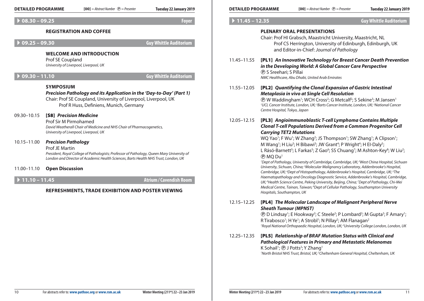|                                | $[00]$ = Abstract Number $\odot$ = Presenter<br><b>DETAILED PROGRAMME</b>                                                                                                                                                                | Tuesday 22 January 2019                                               | <b>DETAILED PROGRAMME</b>                                                                                                                                                                                                                                                                                                                                                                                                                                                                                                                                                                        |                               | $[00]$ = Abstract Number $\odot$ = Presenter                                                                                                                                                                                                                                                                                                                                                                                                                                                                                      | Tuesday 22 January 2019       |
|--------------------------------|------------------------------------------------------------------------------------------------------------------------------------------------------------------------------------------------------------------------------------------|-----------------------------------------------------------------------|--------------------------------------------------------------------------------------------------------------------------------------------------------------------------------------------------------------------------------------------------------------------------------------------------------------------------------------------------------------------------------------------------------------------------------------------------------------------------------------------------------------------------------------------------------------------------------------------------|-------------------------------|-----------------------------------------------------------------------------------------------------------------------------------------------------------------------------------------------------------------------------------------------------------------------------------------------------------------------------------------------------------------------------------------------------------------------------------------------------------------------------------------------------------------------------------|-------------------------------|
|                                | $\rightarrow$ 08.30 - 09.25                                                                                                                                                                                                              | <b>Foyer</b>                                                          | $11.45 - 12.35$                                                                                                                                                                                                                                                                                                                                                                                                                                                                                                                                                                                  |                               |                                                                                                                                                                                                                                                                                                                                                                                                                                                                                                                                   | <b>Guy Whittle Auditorium</b> |
|                                | <b>REGISTRATION AND COFFEE</b><br>$09.25 - 09.30$<br><b>WELCOME AND INTRODUCTION</b>                                                                                                                                                     | <b>Guy Whittle Auditorium</b>                                         |                                                                                                                                                                                                                                                                                                                                                                                                                                                                                                                                                                                                  |                               | <b>PLENARY ORAL PRESENTATIONS</b><br>Chair: Prof HI Grabsch, Maastricht University, Maastricht, NL<br>Prof CS Herrington, University of Edinburgh, Edinburgh, UK<br>and Editor-in-Chief: Journal of Pathology                                                                                                                                                                                                                                                                                                                     |                               |
| $09.30 - 11.10$                | Prof SE Coupland<br>University of Liverpool, Liverpool, UK                                                                                                                                                                               | <b>Guy Whittle Auditorium</b>                                         | 11.45 - 11.55                                                                                                                                                                                                                                                                                                                                                                                                                                                                                                                                                                                    | ® S Sreehari; S Pillai        | [PL1] An Innovative Technology for Breast Cancer Death Prevention<br>in the Developing World: A Global Cancer Care Perspective<br>NMC Healthcare, Abu Dhabi, United Arab Emirates                                                                                                                                                                                                                                                                                                                                                 |                               |
|                                | <b>SYMPOSIUM</b><br>Precision Pathology and its Application in the 'Day-to-Day' (Part 1)<br>Chair: Prof SE Coupland, University of Liverpool, Liverpool, UK<br>Prof R Huss, Definiens, Munich, Germany                                   |                                                                       | 11.55-12.05                                                                                                                                                                                                                                                                                                                                                                                                                                                                                                                                                                                      | Centre Hospital, Tokyo, Japan | [PL2] Quantifying the Clonal Expansion of Gastric Intestinal<br>Metaplasia in vivo at Single Cell Resolution<br><b><i>@</i></b> W Waddingham <sup>1</sup> ; WCH Cross <sup>2</sup> ; G Metcalf <sup>2</sup> ; S Sekine <sup>3</sup> ; M Jansen <sup>1</sup><br><sup>1</sup> UCL Cancer Institute, London, UK; <sup>2</sup> Barts Cancer Institute, London, UK; <sup>3</sup> National Cancer                                                                                                                                       |                               |
| 09.30-10.15                    | [S8] Precision Medicine<br>Prof Sir M Pirmohamed<br>University of Liverpool, Liverpool, UK                                                                                                                                               | David Weatherall Chair of Medicine and NHS Chair of Pharmacogenetics, |                                                                                                                                                                                                                                                                                                                                                                                                                                                                                                                                                                                                  |                               | [PL3] Angioimmunoblastic T-cell Lymphoma Contains Multiple<br><b>Clonal T-cell Populations Derived from a Common Progenitor Cell</b><br><b>Carrying TET2 Mutations</b>                                                                                                                                                                                                                                                                                                                                                            |                               |
|                                | <b>Precision Pathology</b><br><b>Prof JE Martin</b><br>President, Royal College of Pathologists; Professor of Pathology, Queen Mary University of<br>London and Director of Academic Health Sciences, Barts Health NHS Trust, London, UK |                                                                       | WQ Yao <sup>1</sup> ; F Wu <sup>1</sup> ; W Zhang <sup>2</sup> ; JS Thompson <sup>1</sup> ; SW Zhang <sup>1</sup> ; A Clipson <sup>1</sup> ;<br>M Wang <sup>1</sup> ; H Liu <sup>3</sup> ; H Bibawi <sup>3</sup> ; JW Grant <sup>4</sup> ; P Wright <sup>4</sup> ; H El-Daly <sup>5</sup> ;<br>L Rásó-Barnett <sup>5</sup> ; L Farkas <sup>5</sup> ; Z Gao <sup>6</sup> ; SS Chuang <sup>7</sup> ; M Ashton-Key <sup>8</sup> ; W Liu <sup>2</sup> ;<br>® MQ Du <sup>1</sup><br><sup>1</sup> Dept of Pathology, University of Cambridge, Cambridge, UK; <sup>2</sup> West China Hospital, Sichuan |                               |                                                                                                                                                                                                                                                                                                                                                                                                                                                                                                                                   |                               |
| $\triangleright$ 11.10 - 11.45 | <b>Open Discussion</b><br>REFRESHMENTS, TRADE EXHIBITION AND POSTER VIEWING                                                                                                                                                              | <b>Atrium / Cavendish Room</b>                                        |                                                                                                                                                                                                                                                                                                                                                                                                                                                                                                                                                                                                  | Hospitals, Southampton, UK    | University, Sichuan, China; <sup>3</sup> Molecular Malignancy Laboratory, Addenbrooke's Hospital,<br>Cambridge, UK; <sup>4</sup> Dept of Histopathology, Addenbrooke's Hospital, Cambridge, UK; <sup>5</sup> The<br>Haematopathology and Oncology Diagnostic Service, Addenbrooke's Hospital, Cambridge,<br>UK; <sup>6</sup> Health Science Centre, Peking University, Beijing, China; <sup>7</sup> Dept of Pathology, Chi-Mei<br>Medical Centre, Tainan, Taiwan; <sup>8</sup> Dept of Cellular Pathology, Southampton University |                               |
|                                |                                                                                                                                                                                                                                          |                                                                       | 12.15-12.25                                                                                                                                                                                                                                                                                                                                                                                                                                                                                                                                                                                      | <b>Sheath Tumour (MPNST)</b>  | [PL4] The Molecular Landscape of Malignant Peripheral Nerve<br><b>(B)</b> D Lindsay <sup>1</sup> ; E Hookway <sup>2</sup> ; C Steele <sup>2</sup> ; P Lombard <sup>2</sup> ; M Gupta <sup>2</sup> ; F Amary <sup>1</sup> ;<br>R Tirabosco <sup>1</sup> ; H Ye <sup>1</sup> ; A Strobl <sup>1</sup> ; N Pillay <sup>2</sup> ; AM Flanagan <sup>2</sup><br><sup>1</sup> Royal National Orthopaedic Hospital, London, UK; <sup>2</sup> University College London, London, UK                                                         |                               |
|                                |                                                                                                                                                                                                                                          |                                                                       | 12.25-12.35                                                                                                                                                                                                                                                                                                                                                                                                                                                                                                                                                                                      |                               | [PL5] Relationship of BRAF Mutation Status with Clinical and                                                                                                                                                                                                                                                                                                                                                                                                                                                                      |                               |

| <b>DETAILED PROGRAMME</b> |                                                           |                                                                                                                                                                               | $[00]$ = Abstract Number $\odot$ = Presenter | Tuesday 22 January 2019                                                                                                                                                                                                                                                                                                                                                                                                                                                                                                                                                                                                                                                                                                                                                                                                                                                                                                                                                                                                                                                                                |
|---------------------------|-----------------------------------------------------------|-------------------------------------------------------------------------------------------------------------------------------------------------------------------------------|----------------------------------------------|--------------------------------------------------------------------------------------------------------------------------------------------------------------------------------------------------------------------------------------------------------------------------------------------------------------------------------------------------------------------------------------------------------------------------------------------------------------------------------------------------------------------------------------------------------------------------------------------------------------------------------------------------------------------------------------------------------------------------------------------------------------------------------------------------------------------------------------------------------------------------------------------------------------------------------------------------------------------------------------------------------------------------------------------------------------------------------------------------------|
| $11.45 - 12.35$           |                                                           |                                                                                                                                                                               |                                              | <b>Guy Whittle Auditorium</b>                                                                                                                                                                                                                                                                                                                                                                                                                                                                                                                                                                                                                                                                                                                                                                                                                                                                                                                                                                                                                                                                          |
|                           |                                                           | <b>PLENARY ORAL PRESENTATIONS</b><br>Chair: Prof HI Grabsch, Maastricht University, Maastricht, NL<br>and Editor-in-Chief: Journal of Pathology                               |                                              | Prof CS Herrington, University of Edinburgh, Edinburgh, UK                                                                                                                                                                                                                                                                                                                                                                                                                                                                                                                                                                                                                                                                                                                                                                                                                                                                                                                                                                                                                                             |
| 11.45-11.55               | <b>P S Sreehari; S Pillai</b>                             | in the Developing World: A Global Cancer Care Perspective<br>NMC Healthcare, Abu Dhabi, United Arab Emirates                                                                  |                                              | [PL1] An Innovative Technology for Breast Cancer Death Prevention                                                                                                                                                                                                                                                                                                                                                                                                                                                                                                                                                                                                                                                                                                                                                                                                                                                                                                                                                                                                                                      |
| 11.55-12.05               | Centre Hospital, Tokyo, Japan                             | <b>Metaplasia in vivo at Single Cell Resolution</b>                                                                                                                           |                                              | [PL2] Quantifying the Clonal Expansion of Gastric Intestinal<br><b>(D)</b> W Waddingham <sup>1</sup> ; WCH Cross <sup>2</sup> ; G Metcalf <sup>2</sup> ; S Sekine <sup>3</sup> ; M Jansen <sup>1</sup><br><sup>1</sup> UCL Cancer Institute, London, UK; <sup>2</sup> Barts Cancer Institute, London, UK; <sup>3</sup> National Cancer                                                                                                                                                                                                                                                                                                                                                                                                                                                                                                                                                                                                                                                                                                                                                                 |
| 12.05-12.15               | <b>P</b> MQ Du <sup>1</sup><br>Hospitals, Southampton, UK | <b>Carrying TET2 Mutations</b><br>M Wang <sup>1</sup> ; H Liu <sup>3</sup> ; H Bibawi <sup>3</sup> ; JW Grant <sup>4</sup> ; P Wright <sup>4</sup> ; H EI-Daly <sup>5</sup> ; |                                              | [PL3] Angioimmunoblastic T-cell Lymphoma Contains Multiple<br><b>Clonal T-cell Populations Derived from a Common Progenitor Cell</b><br>WQ Yao <sup>1</sup> ; F Wu <sup>1</sup> ; W Zhang <sup>2</sup> ; JS Thompson <sup>1</sup> ; SW Zhang <sup>1</sup> ; A Clipson <sup>1</sup> ;<br>L Rásó-Barnett <sup>5</sup> ; L Farkas <sup>5</sup> ; Z Gao <sup>6</sup> ; SS Chuang <sup>7</sup> ; M Ashton-Key <sup>8</sup> ; W Liu <sup>2</sup> ;<br><sup>1</sup> Dept of Pathology, University of Cambridge, Cambridge, UK; <sup>2</sup> West China Hospital, Sichuan<br>University, Sichuan, China; <sup>3</sup> Molecular Malignancy Laboratory, Addenbrooke's Hospital,<br>Cambridge, UK; <sup>4</sup> Dept of Histopathology, Addenbrooke's Hospital, Cambridge, UK; <sup>5</sup> The<br>Haematopathology and Oncology Diagnostic Service, Addenbrooke's Hospital, Cambridge,<br>UK; <sup>6</sup> Health Science Centre, Peking University, Beijing, China; <sup>7</sup> Dept of Pathology, Chi-Mei<br>Medical Centre, Tainan, Taiwan; <sup>8</sup> Dept of Cellular Pathology, Southampton University |

# 12.15–12.25[PL4] *The Molecular Landscape of Malignant Peripheral Nerve Sheath Tumour (MPNST)*

12.25–12.35[PL5] *Relationship of BRAF Mutation Status with Clinical and Pathological Features in Primary and Metastatic Melanomas* K Sohail<sup>1</sup>; **(B)** J Potts<sup>2</sup>; Y Zhang<sup>1</sup> *1 North Bristol NHS Trust, Bristol, UK; 2 Cheltenham General Hospital, Cheltenham, UK*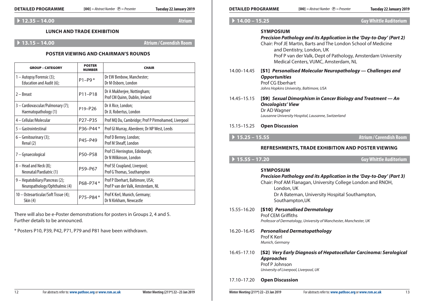| <b>DETAILED PROGRAMME</b>                                        |                                | $[00]$ = Abstract Number $\odot$ = Presenter<br>Tuesday 22 January 2019      | <b>DETAILED PROGRAMME</b>                          |                                                                               | $[00]$ = Abstract Number $\odot$ = Presenter                                                                                           | Tuesday 22 January 2019       |
|------------------------------------------------------------------|--------------------------------|------------------------------------------------------------------------------|----------------------------------------------------|-------------------------------------------------------------------------------|----------------------------------------------------------------------------------------------------------------------------------------|-------------------------------|
| $\rightarrow$ 12.35 - 14.00                                      |                                | <b>Atrium</b>                                                                | $\triangleright$ 14.00 - 15.25                     |                                                                               |                                                                                                                                        | <b>Guy Whittle Auditorium</b> |
| <b>LUNCH AND TRADE EXHIBITION</b><br>$\rightarrow$ 13.15 - 14.00 |                                | <b>Atrium / Cavendish Room</b>                                               |                                                    | <b>SYMPOSIUM</b>                                                              | Precision Pathology and its Application in the 'Day-to-Day' (Part 2)<br>Chair: Prof JE Martin, Barts and The London School of Medicine |                               |
|                                                                  |                                | <b>POSTER VIEWING AND CHAIRMAN'S ROUNDS</b>                                  |                                                    |                                                                               | and Dentistry, London, UK<br>Prof P van der Valk, Dept of Pathology, Amsterdam University<br>Medical Centers, VUMC, Amsterdam, NL      |                               |
| <b>GROUP - CATEGORY</b>                                          | <b>POSTER</b><br><b>NUMBER</b> | <b>CHAIR</b>                                                                 | 14.00-14.45                                        |                                                                               | [S1] Personalised Molecular Neuropathology - Challenges and                                                                            |                               |
| - Autopsy/Forensic (3);<br>Education and Audit (6);              | $P1 - P9*$                     | Dr EW Benbow, Manchester;<br>Dr M Osborn, London                             |                                                    | <b>Opportunities</b><br>Prof CG Eberhart                                      |                                                                                                                                        |                               |
| 2 – Breast                                                       | P11-P18                        | Dr A Mukherjee, Nottingham;<br>Prof CM Quinn, Dublin, Ireland                | 14.45-15.15                                        | Johns Hopkins University, Baltimore, USA                                      | [S9] Sexual Dimorphism in Cancer Biology and Treatment - An                                                                            |                               |
| 3 - Cardiovascular/Pulmonary (7);<br>Haematopathology (1)        | P19-P26                        | Dr A Rice, London;<br>Dr JL Robertus, London                                 |                                                    | <b>Oncologists' View</b><br>Dr AD Wagner                                      |                                                                                                                                        |                               |
| 4 - Cellular/Molecular                                           | P27-P35                        | Prof MQ Du, Cambridge; Prof P Pirmohamed, Liverpool                          |                                                    |                                                                               | Lausanne University Hospital, Lausanne, Switzerland                                                                                    |                               |
| 5 - Gastrointestinal                                             | P36-P44*                       | Prof GI Murray, Aberdeen; Dr NP West, Leeds                                  | 15.15 - 15.25                                      | <b>Open Discussion</b>                                                        |                                                                                                                                        |                               |
| $6 -$ Genitourinary (3);<br>Renal (2)                            | P45-P49                        | Prof D Berney, London;<br>Prof M Sheaff, London                              | $\triangleright$ 15.25 - 15.55                     |                                                                               |                                                                                                                                        | <b>Atrium/Cavendish Room</b>  |
| 7 - Gynaecological                                               | P50-P58                        | Prof CS Herrington, Edinburgh;<br>Dr N Wilkinson, London                     | $\triangleright$ 15.55 - 17.20                     |                                                                               | REFRESHMENTS, TRADE EXHIBITION AND POSTER VIEWING                                                                                      | <b>Guy Whittle Auditorium</b> |
| 8 - Head and Neck (8);<br>Neonatal/Paediatric (1)                | P59-P67                        | Prof SE Coupland, Liverpool;<br>Prof G Thomas, Southampton                   |                                                    | <b>SYMPOSIUM</b>                                                              |                                                                                                                                        |                               |
| 9 - Hepatobiliary/Pancreas (2);<br>Neuropathology/Ophthalmic (4) | P68-P74*                       | Prof P Eberhart, Baltimore, USA;<br>Prof P van der Valk, Amsterdam, NL       |                                                    | London, UK                                                                    | Precision Pathology and its Application in the 'Day-to-Day' (Part 3)<br>Chair: Prof AM Flanagan, University College London and RNOH,   |                               |
| 10 - Osteoarticular/Soft Tissue (4);<br><b>Skin (4)</b>          | P75-P84*                       | Prof K Kerl, Munich, Germany;<br>Dr N Kirkham, Newcastle                     |                                                    | Southampton, UK                                                               | Dr A Bateman, University Hospital Southampton,                                                                                         |                               |
| Further details to be announced.                                 |                                | There will also be e-Poster demonstrations for posters in Groups 2, 4 and 5. | 15.55-16.20                                        | Prof CEM Griffiths                                                            | [S10] Personalised Dermatology<br>Professor of Dermatology, University of Manchester, Manchester, UK                                   |                               |
| * Posters P10, P39, P42, P71, P79 and P81 have been withdrawn.   |                                |                                                                              | 16.20-16.45                                        | Prof K Kerl<br>Munich, Germany                                                | <b>Personalised Dermatopathology</b>                                                                                                   |                               |
|                                                                  |                                |                                                                              | 16.45-17.10                                        | <b>Approaches</b><br>Prof P Johnson<br>University of Liverpool, Liverpool, UK | [S2] Very Early Diagnosis of Hepatocellular Carcinoma: Serological                                                                     |                               |
|                                                                  |                                |                                                                              | 17.10-17.20                                        | <b>Open Discussion</b>                                                        |                                                                                                                                        |                               |
| For abstracts refer to: www.pathsoc.org or www.rsm.ac.uk<br>12   |                                | Winter Meeting (211 <sup>th</sup> ) 22-23 Jan 2019                           | Winter Meeting (211 <sup>th</sup> ) 22-23 Jan 2019 |                                                                               | For abstracts refer to: www.pathsoc.org or www.rsm.ac.uk                                                                               | 13                            |

| <b>GROUP - CATEGORY</b>                                          | <b>POSTER</b><br><b>NUMBER</b> | <b>CHAIR</b>                                                           |
|------------------------------------------------------------------|--------------------------------|------------------------------------------------------------------------|
| 1 – Autopsy/Forensic (3);<br>Education and Audit (6);            | $P1 - P9*$                     | Dr EW Benbow, Manchester;<br>Dr M Osborn, London                       |
| $2 -$ Breast                                                     | P11-P18                        | Dr A Mukherjee, Nottingham;<br>Prof CM Quinn, Dublin, Ireland          |
| 3 - Cardiovascular/Pulmonary (7);<br>Haematopathology (1)        | P19-P26                        | Dr A Rice, London;<br>Dr JL Robertus, London                           |
| 4 - Cellular/Molecular                                           | P27-P35                        | Prof MQ Du, Cambridge; Prof P Pirmohamed, Liverpool                    |
| 5 - Gastrointestinal                                             | P36-P44*                       | Prof GI Murray, Aberdeen; Dr NP West, Leeds                            |
| $6 -$ Genitourinary (3);<br>Renal (2)                            | P45-P49                        | Prof D Berney, London;<br>Prof M Sheaff, London                        |
| 7 - Gynaecological                                               | P50-P58                        | Prof CS Herrington, Edinburgh;<br>Dr N Wilkinson, London               |
| 8 - Head and Neck (8);<br>Neonatal/Paediatric (1)                | P59-P67                        | Prof SE Coupland, Liverpool;<br>Prof G Thomas, Southampton             |
| 9 - Hepatobiliary/Pancreas (2);<br>Neuropathology/Ophthalmic (4) | P68-P74*                       | Prof P Eberhart, Baltimore, USA;<br>Prof P van der Valk, Amsterdam, NL |
| 10 - Osteoarticular/Soft Tissue (4);<br>Skin (4)                 | P75-P84*                       | Prof K Kerl, Munich, Germany;<br>Dr N Kirkham, Newcastle               |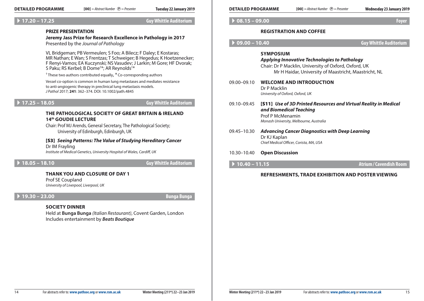### A **17.20 – 17.25 Guy Whittle Auditorium**

### **PRIZE PRESENTATION**

**Jeremy Jass Prize for Research Excellence in Pathology in 2017** Presented by the *Journal of Pathology*

VL Bridgeman; PB Vermeulen; S Foo; A Bilecz; F Daley; E Kostaras; MR Nathan; E Wan; S Frentzas; T Schweiger; B Hegedus; K Hoetzenecker; F Renyi-Vamos; EA Kuczynski; NS Vasudev; J Larkin; M Gore; HF Dvorak; S Paku; RS Kerbel; B Dome† \*; AR Reynolds† \*

 $<sup>†</sup>$  These two authors contributed equally,  $*$  Co-corresponding authors</sup>

Vessel co-option is common in human lung metastases and mediates resistance to anti-angiogenic therapy in preclinical lung metastasis models. *J Pathol* 2017; **241**: 362–374. DOI: 10.1002/path.4845

A **17.25 – 18.05 Guy Whittle Auditorium**

# **The Pathological Society of Great Britain & Ireland 14th Goudie Lecture**

Chair: Prof MJ Arends, General Secretary, The Pathological Society; University of Edinburgh, Edinburgh, UK

[S3] *Seeing Patterns: The Value of Studying Hereditary Cancer* Dr IM Frayling

*Institute of Medical Genetics, University Hospital of Wales, Cardiff, UK*

A **18.05 – 18.10 Guy Whittle Auditorium**

# **THANK YOU AND CLOSURE OF DAY 1**

Prof SE Coupland *University of Liverpool, Liverpool, UK*

# A **19.30 – 23.00 Bunga Bunga**

# **SOCIETY Dinner**

Held at **Bunga Bunga** *(Italian Restaurant)*, Covent Garden, London Includes entertainment by *Beats Boutique*

## A **08.15 – 09.00 Foyer**

# **Registration and coffee**

A **09.00 – 10.40 Guy Whittle Auditorium**

### **Symposium**

### *Applying Innovative Technologies to Pathology*

Chair: Dr P Macklin, University of Oxford, Oxford, UK Mr H Haidar, University of Maastricht, Maastricht, NL

09.00–09.10 **Welcome and Introduction** Dr P Macklin *University of Oxford, Oxford, UK*

### 09.10–09.45 [S11] *Use of 3D Printed Resources and Virtual Reality in Medical and Biomedical Teaching* Prof P McMenamin *Monash University, Melbourne, Australia*

- 09.45–10.30 *Advancing Cancer Diagnostics with Deep Learning* Dr KJ Kaplan *Chief Medical Officer, Corista, MA, USA*
- 10.30–10.40 **Open Discussion**
- 

A **10.40 – 11.15 Atrium/Cavendish Room**

# **REFRESHMENTS, Trade Exhibition and Poster Viewing**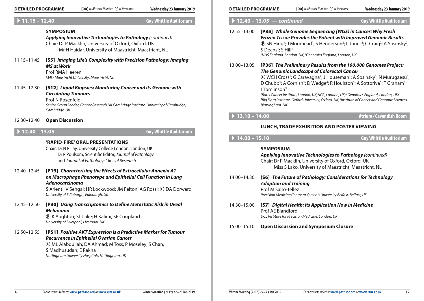# A **11.15 – 12.40 Guy Whittle Auditorium**

# **Symposium**

*Applying Innovative Technologies to Pathology (continued)* Chair: Dr P Macklin, University of Oxford, Oxford, UK Mr H Haidar, University of Maastricht, Maastricht, NL

11.15–11.45 [S5] *Imaging Life's Complexity with Precision Pathology: Imaging MS at Work*

Prof RMA Heeren *M4I / Maastricht University, Maastricht, NL*

11.45–12.30 [S12] *Liquid Biopsies: Monitoring Cancer and its Genome with Circulating Tumours* Prof N Rosenfeld *Senior Group Leader, Cancer Research UK Cambridge Institute, University of Cambridge,* 

*Cambridge, UK*

12.30–12.40 **Open Discussion**

# A **12.40 – 13.05 Guy Whittle Auditorium**

# **'RAPID-FIRE' Oral Presentations**

Chair: Dr N Pillay, University College London, London, UK Dr R Poulsom, Scientific Editor, *Journal of Pathology* and *Journal of Pathology: Clinical Research*

12.40–12.45 [P19] *Characterising the Effects of Extracellular Annexin A1 on Macrophage Phenotype and Epithelial Cell Function in Lung Adenocarcinoma*

> S Arienti; V Sehgal; HR Lockwood; JM Felton; AG Rossi; ® DA Dorward *University of Edinburgh, Edinburgh, UK*

# 12.45–12.50 [P30] *Using Transcriptomics to Define Metastatic Risk in Uveal Melanoma*

P K Aughton; SL Lake; H Kalirai; SE Coupland *University of Liverpool, Liverpool, UK*

12.50–12.55 [P51] *Positive AKT Expression is a Predictive Marker for Tumour Recurrence in Epithelial Ovarian Cancer*

P ML Alabdullah; DA Ahmad; M Toss; P Moseley; S Chan; S Madhusudan; E Rakha *Nottingham University Hospitals, Nottingham, UK*

| $[00]$ = Abstract Number $\odot$ = Presenter<br><b>DETAILED PROGRAMME</b><br>Wednesdav 23 January 2019 | <b>DETAILED PROGRAMME</b> | $[00]$ = Abstract Number $(P)$ = Presenter | Wednesday 23 January 2019 |
|--------------------------------------------------------------------------------------------------------|---------------------------|--------------------------------------------|---------------------------|
|--------------------------------------------------------------------------------------------------------|---------------------------|--------------------------------------------|---------------------------|

# A **12.40 – 13.05** *— continued* **Guy Whittle Auditorium**

12.55–13.00 [P35] *Whole Genome Sequencing (WGS) in Cancer: Why Fresh Frozen Tissue Provides the Patient with Improved Genomic Results* **(B)** SN Hing<sup>1</sup>; J Moorhead<sup>1</sup>; S Henderson<sup>2</sup>; L Jones<sup>2</sup>; C Craig<sup>2</sup>; A Sosinsky<sup>2</sup>; S Deans<sup>1</sup>; S Hill<sup>1</sup> *1 NHS England, London, UK; 2 Genomics England, London, UK*

13.00–13.05 [P36] *The Preliminary Results from the 100,000 Genomes Project: The Genomic Landscape of Colorectal Cancer*

**(B)** WCH Cross<sup>1</sup>; G Caravagna<sup>2</sup>; J Houseman<sup>1</sup>; A Sosinsky<sup>3</sup>; N Murugaesu<sup>3</sup>; D Chubb<sup>2</sup>; A Cornish<sup>2</sup>; D Wedge<sup>4</sup>; R Houlston<sup>2</sup>; A Sottoriva<sup>2</sup>; T Graham<sup>1</sup>;  $I$  Tomlinson $5$ 

<sup>1</sup>Barts Cancer Institute, London, UK; <sup>2</sup>ICR, London, UK; <sup>3</sup>Genomics England, London, UK;<br><sup>4</sup>Bia Data Institute, Oxford University, Oxford, UK<sup>, 5</sup>Institute of Cancer and Genomic Scie *Big Data Institute, Oxford University, Oxford, UK; 5 Institute of Cancer and Genomic Sciences, Birmingham, UK*

# A **13.10 – 14.00 Atrium/Cavendish Room**

# **LUNCH, Trade Exhibition AND Poster Viewing**

A **14.00 – 15.10 Guy Whittle Auditorium**

# **Symposium**

*Applying Innovative Technologies to Pathology (continued)* Chair: Dr P Macklin, University of Oxford, Oxford, UK Miss S Lako, University of Maastricht, Maastricht, NL

| 14.00–14.30 | [S6] The Future of Pathology: Considerations for Technology          |  |
|-------------|----------------------------------------------------------------------|--|
|             | <b>Adoption and Training</b>                                         |  |
|             | Prof M Salto-Tellez                                                  |  |
|             | Precision Medicine Centre at Queen's University Belfast, Belfast, UK |  |

- 14.30–15.00 [S7] *Digital Health: Its Application Now in Medicine* Prof AE Blandford *UCL Institute for Precision Medicine, London, UK*
- 15.00–15.10 **Open Discussion and Symposium Closure**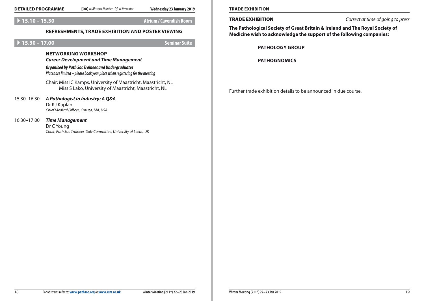$[00]$  = Abstract Number  $(P)$  = Presenter

### A **15.10 – 15.30 Atrium/Cavendish Room**

# **REFRESHMENTS, Trade Exhibition and Poster Viewing**

# A **15.30 – 17.00 Seminar Suite**

# **Networking Workshop**

*Career Development and Time Management*

*Organised by Path Soc Trainees and Undergraduates Places are limited – please book your place when registering for the meeting*

Chair: Miss IC Kamps, University of Maastricht, Maastricht, NL Miss S Lako, University of Maastricht, Maastricht, NL

# 15.30–16.30 *A Pathologist in Industry: A Q&A*

Dr KJ Kaplan *Chief Medical Officer, Corista, MA, USA*

### 16.30–17.00 *Time Management*

Dr C Young *Chair, Path Soc Trainees' Sub-Committee; University of Leeds, UK*

Trade Exhibition *Correct at time of going to press*

**The Pathological Society of Great Britain & Ireland and The Royal Society of Medicine wish to acknowledge the support of the following companies:** 

### **PATHOLOGY GROUP**

**PATHOGNOMICS**

Further trade exhibition details to be announced in due course.